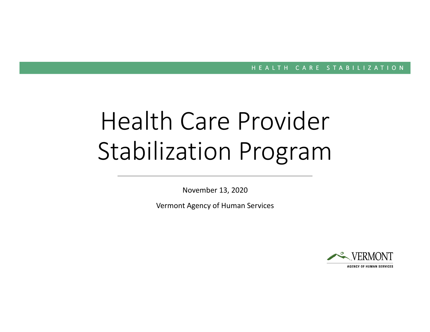# Health Care Provider Stabilization Program

November 13, 2020

Vermont Agency of Human Services

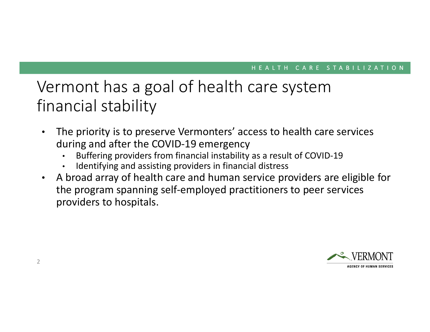## Vermont has a goal of health care system financial stability

- $\bullet$  The priority is to preserve Vermonters' access to health care services during and after the COVID-19 emergency
	- Buffering providers from financial instability as a result of COVID-19•
	- •Identifying and assisting providers in financial distress
- $\bullet$  A broad array of health care and human service providers are eligible for the program spanning self-employed practitioners to peer services providers to hospitals.

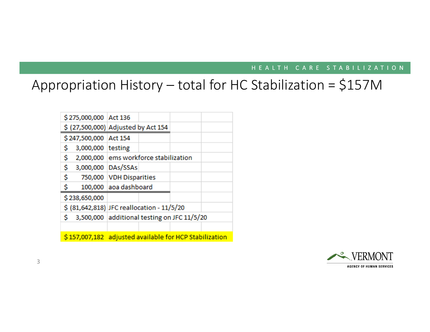### Appropriation History – total for HC Stabilization = \$157M

|                                                        | \$275,000,000 Act 136 |                                             |  |  |  |
|--------------------------------------------------------|-----------------------|---------------------------------------------|--|--|--|
|                                                        |                       | \$ (27,500,000) Adjusted by Act 154         |  |  |  |
| \$247,500,000 Act 154                                  |                       |                                             |  |  |  |
| \$                                                     | 3,000,000 testing     |                                             |  |  |  |
| \$                                                     |                       | 2,000,000 ems workforce stabilization       |  |  |  |
| \$                                                     | 3,000,000 DAs/SSAs    |                                             |  |  |  |
| \$                                                     |                       | 750,000 VDH Disparities                     |  |  |  |
| \$                                                     |                       | 100,000 aoa dashboard                       |  |  |  |
| \$238,650,000                                          |                       |                                             |  |  |  |
|                                                        |                       | \$ (81,642,818) JFC reallocation - 11/5/20  |  |  |  |
| Ś                                                      |                       | 3,500,000 additional testing on JFC 11/5/20 |  |  |  |
|                                                        |                       |                                             |  |  |  |
| \$157,007,182 adjusted available for HCP Stabilization |                       |                                             |  |  |  |

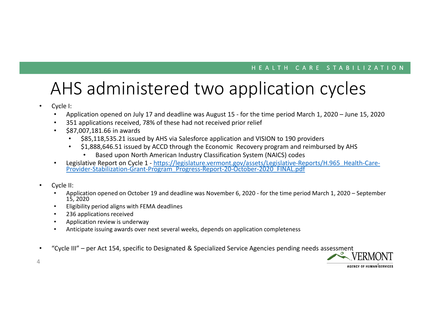## AHS administered two application cycles

- • Cycle I:
	- •Application opened on July 17 and deadline was August 15 - for the time period March 1, 2020 – June 15, 2020
	- •351 applications received, 78% of these had not received prior relief
	- $\bullet$  \$87,007,181.66 in awards
		- •\$85,118,535.21 issued by AHS via Salesforce application and VISION to 190 providers
		- \$1,888,646.51 issued by ACCD through the Economic Recovery program and reimbursed by AHS •
			- •Based upon North American Industry Classification System (NAICS) codes
	- Legislative Report on Cycle 1 https://legislature.vermont.gov/assets/Legislative-Reports/H.965\_Health-Care-<br>Provider-Stabilization-Grant-Program\_Progress-Report-20-October-2020\_FINAL.pdf •
- • Cycle II:
	- • Application opened on October 19 and deadline was November 6, 2020 - for the time period March 1, 2020 – September 15, 2020
	- Eligibility period aligns with FEMA deadlines•
	- •236 applications received
	- Application review is underway•
	- Anticipate issuing awards over next several weeks, depends on application completeness•
- •"Cycle III" – per Act 154, specific to Designated & Specialized Service Agencies pending needs assessment



4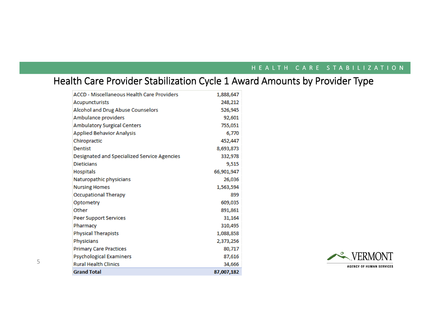### Health Care Provider Stabilization Cycle 1 Award Amounts by Provider Type

| <b>ACCD - Miscellaneous Health Care Providers</b> | 1,888,647  |
|---------------------------------------------------|------------|
| <b>Acupuncturists</b>                             | 248,212    |
| Alcohol and Drug Abuse Counselors                 | 526,945    |
| Ambulance providers                               | 92,601     |
| <b>Ambulatory Surgical Centers</b>                | 755,051    |
| <b>Applied Behavior Analysis</b>                  | 6,770      |
| Chiropractic                                      | 452,447    |
| <b>Dentist</b>                                    | 8,693,873  |
| Designated and Specialized Service Agencies       | 332,978    |
| <b>Dieticians</b>                                 | 9,515      |
| Hospitals                                         | 66,901,947 |
| Naturopathic physicians                           | 26,036     |
| <b>Nursing Homes</b>                              | 1,563,594  |
| <b>Occupational Therapy</b>                       | 899        |
| Optometry                                         | 609,035    |
| Other                                             | 891,861    |
| <b>Peer Support Services</b>                      | 31,164     |
| Pharmacy                                          | 310,495    |
| <b>Physical Therapists</b>                        | 1,088,858  |
| <b>Physicians</b>                                 | 2,373,256  |
| <b>Primary Care Practices</b>                     | 80,717     |
| <b>Psychological Examiners</b>                    | 87,616     |
| <b>Rural Health Clinics</b>                       | 34,666     |
| <b>Grand Total</b>                                | 87,007,182 |

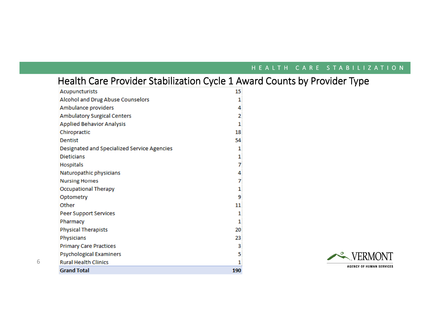### Health Care Provider Stabilization Cycle 1 Award Counts by Provider Type

| <b>Acupuncturists</b>                       | 15  |
|---------------------------------------------|-----|
| Alcohol and Drug Abuse Counselors           | 1   |
| Ambulance providers                         | 4   |
| <b>Ambulatory Surgical Centers</b>          | 2   |
| <b>Applied Behavior Analysis</b>            | 1   |
| Chiropractic                                | 18  |
| <b>Dentist</b>                              | 54  |
| Designated and Specialized Service Agencies | 1   |
| <b>Dieticians</b>                           | 1   |
| <b>Hospitals</b>                            | 7   |
| Naturopathic physicians                     | 4   |
| <b>Nursing Homes</b>                        | 7   |
| <b>Occupational Therapy</b>                 | 1   |
| Optometry                                   | 9   |
| Other                                       | 11  |
| <b>Peer Support Services</b>                | 1   |
| Pharmacy                                    | 1   |
| <b>Physical Therapists</b>                  | 20  |
| Physicians                                  | 23  |
| <b>Primary Care Practices</b>               | 3   |
| <b>Psychological Examiners</b>              | 5   |
| <b>Rural Health Clinics</b>                 | 1   |
| <b>Grand Total</b>                          | 190 |

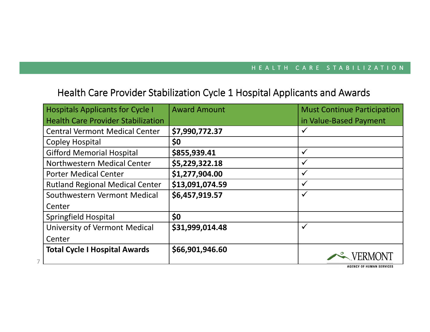### Health Care Provider Stabilization Cycle 1 Hospital Applicants and Awards

| <b>Hospitals Applicants for Cycle I</b>   | <b>Award Amount</b> | <b>Must Continue Participation</b> |
|-------------------------------------------|---------------------|------------------------------------|
| <b>Health Care Provider Stabilization</b> |                     | in Value-Based Payment             |
| <b>Central Vermont Medical Center</b>     | \$7,990,772.37      | $\checkmark$                       |
| <b>Copley Hospital</b>                    | \$0                 |                                    |
| <b>Gifford Memorial Hospital</b>          | \$855,939.41        | $\checkmark$                       |
| Northwestern Medical Center               | \$5,229,322.18      | $\checkmark$                       |
| <b>Porter Medical Center</b>              | \$1,277,904.00      | $\checkmark$                       |
| <b>Rutland Regional Medical Center</b>    | \$13,091,074.59     | $\checkmark$                       |
| Southwestern Vermont Medical              | \$6,457,919.57      | $\checkmark$                       |
| Center                                    |                     |                                    |
| Springfield Hospital                      | \$0                 |                                    |
| University of Vermont Medical             | \$31,999,014.48     | $\checkmark$                       |
| Center                                    |                     |                                    |
| <b>Total Cycle I Hospital Awards</b>      | \$66,901,946.60     |                                    |

**AGENCY OF HUMAN SERVICES**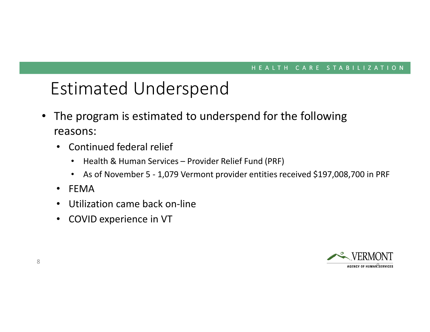## Estimated Underspend

- $\bullet$  The program is estimated to underspend for the following reasons:
	- • Continued federal relief
		- •Health & Human Services – Provider Relief Fund (PRF)
		- $\bullet$ As of November 5 - 1,079 Vermont provider entities received \$197,008,700 in PRF
	- •FEMA
	- •Utilization came back on-line
	- •COVID experience in VT

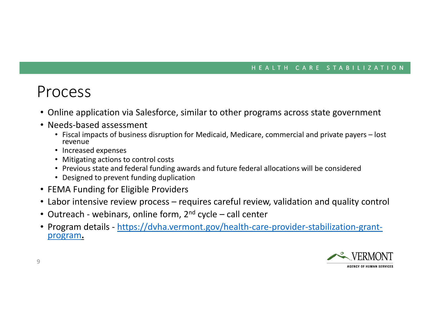### Process

- Online application via Salesforce, similar to other programs across state government
- Needs-based assessment
	- Fiscal impacts of business disruption for Medicaid, Medicare, commercial and private payers lost revenue
	- Increased expenses
	- Mitigating actions to control costs
	- Previous state and federal funding awards and future federal allocations will be considered
	- Designed to prevent funding duplication
- FEMA Funding for Eligible Providers
- Labor intensive review process requires careful review, validation and quality control
- Outreach webinars, online form, 2<sup>nd</sup> cycle call center
- Program details https://dvha.vermont.gov/health-care-provider-stabilization-grantprogram**.**

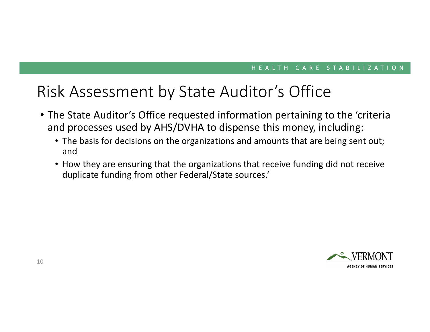### Risk Assessment by State Auditor's Office

- The State Auditor's Office requested information pertaining to the 'criteria and processes used by AHS/DVHA to dispense this money, including:
	- The basis for decisions on the organizations and amounts that are being sent out; and
	- How they are ensuring that the organizations that receive funding did not receive duplicate funding from other Federal/State sources.'

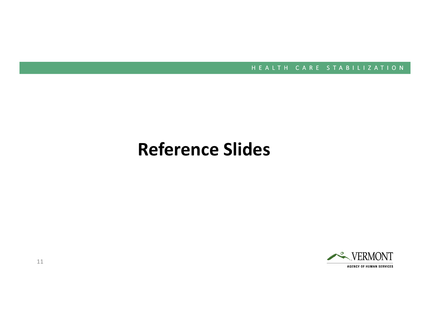## **Reference Slides**



11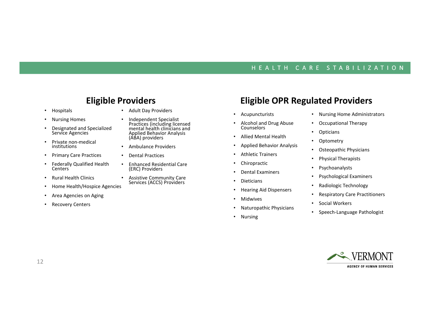#### **Eligible Providers**

- •Hospitals
- •Nursing Homes
- • Designated and Specialized Service Agencies
- • Private non-medical institutions
- •Primary Care Practices
- • Federally Qualified Health **Centers**
- •Rural Health Clinics
- •Home Health/Hospice Agencies
- •Area Agencies on Aging
- •Recovery Centers
- Adult Day Providers
- • Independent Specialist Practices (including licensed mental health clinicians and Applied Behavior Analysis (ABA) providers
- •Ambulance Providers
- •Dental Practices
- • Enhanced Residential Care (ERC) Providers
- •Assistive Community Care Services (ACCS) Providers

### **Eligible OPR Regulated Providers**

- •Acupuncturists
- •Alcohol and Drug Abuse Counselors
- Allied Mental Health
- •Applied Behavior Analysis
- •Athletic Trainers
- •Chiropractic
- •Dental Examiners
- •Dieticians
- •Hearing Aid Dispensers
- •Midwives
- •Naturopathic Physicians
- Nursing
- Nursing Home Administrators
- •Occupational Therapy
- •**Opticians**
- •**Optometry**
- •Osteopathic Physicians
- •Physical Therapists
- •Psychoanalysts
- •Psychological Examiners
- •Radiologic Technology
- •Respiratory Care Practitioners
- •Social Workers
- •Speech-Language Pathologist

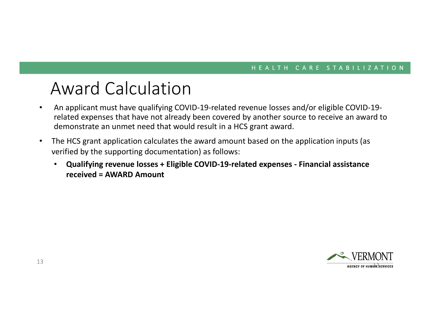## Award Calculation

- An applicant must have qualifying COVID-19-related revenue losses and/or eligible COVID-19- •related expenses that have not already been covered by another source to receive an award to demonstrate an unmet need that would result in a HCS grant award.
- $\bullet$  The HCS grant application calculates the award amount based on the application inputs (as verified by the supporting documentation) as follows:
	- $\bullet$  **Qualifying revenue losses + Eligible COVID-19-related expenses - Financial assistance received = AWARD Amount**

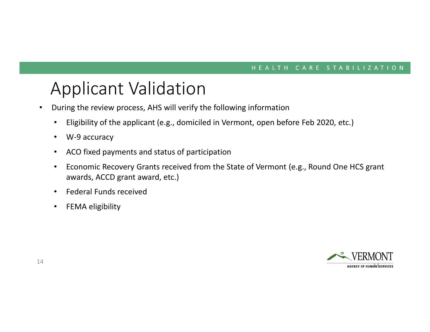## Applicant Validation

- During the review process, AHS will verify the following information $\bullet$ 
	- $\bullet$ Eligibility of the applicant (e.g., domiciled in Vermont, open before Feb 2020, etc.)
	- $\bullet$ W-9 accuracy
	- $\bullet$ ACO fixed payments and status of participation
	- • Economic Recovery Grants received from the State of Vermont (e.g., Round One HCS grant awards, ACCD grant award, etc.)
	- •Federal Funds received
	- •FEMA eligibility